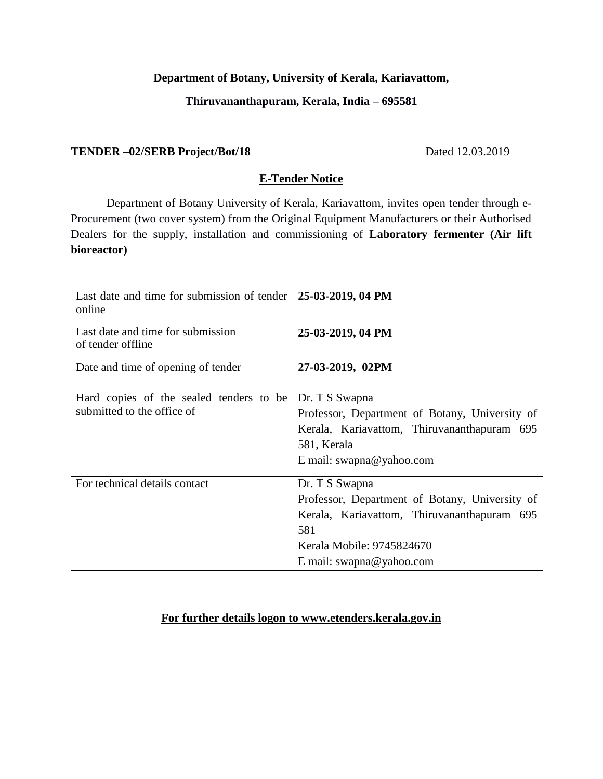## **Department of Botany, University of Kerala, Kariavattom,**

## **Thiruvananthapuram, Kerala, India – 695581**

#### **TENDER –02/SERB Project/Bot/18** Dated 12.03.2019

#### **E-Tender Notice**

Department of Botany University of Kerala, Kariavattom, invites open tender through e-Procurement (two cover system) from the Original Equipment Manufacturers or their Authorised Dealers for the supply, installation and commissioning of **Laboratory fermenter (Air lift bioreactor)**

| Last date and time for submission of tender<br>online  | 25-03-2019, 04 PM                              |
|--------------------------------------------------------|------------------------------------------------|
| Last date and time for submission<br>of tender offline | 25-03-2019, 04 PM                              |
| Date and time of opening of tender                     | 27-03-2019, 02PM                               |
| Hard copies of the sealed tenders to be                | Dr. T S Swapna                                 |
| submitted to the office of                             | Professor, Department of Botany, University of |
|                                                        | Kerala, Kariavattom, Thiruvananthapuram 695    |
|                                                        | 581, Kerala                                    |
|                                                        | E mail: swapna@yahoo.com                       |
| For technical details contact                          | Dr. T S Swapna                                 |
|                                                        | Professor, Department of Botany, University of |
|                                                        | Kerala, Kariavattom, Thiruvananthapuram 695    |
|                                                        | 581                                            |
|                                                        | Kerala Mobile: 9745824670                      |
|                                                        | E mail: swapna@yahoo.com                       |

#### **For further details logon to www.etenders.kerala.gov.in**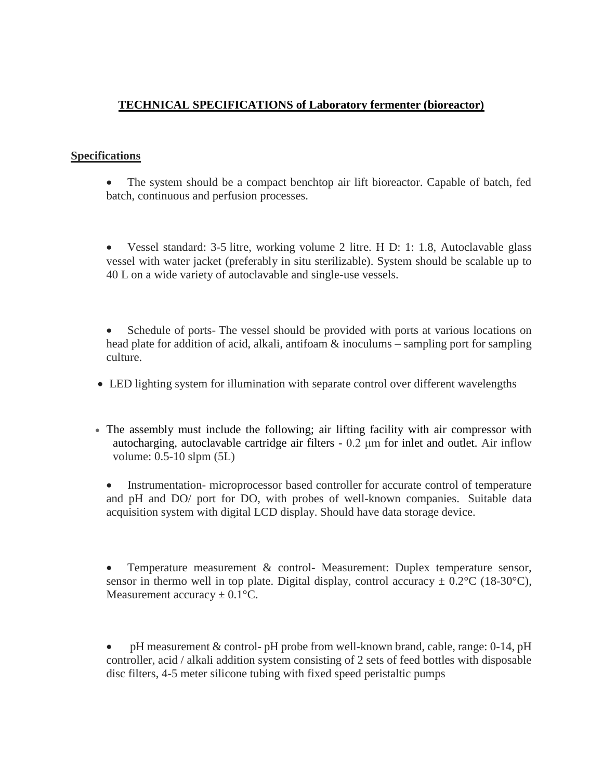# **TECHNICAL SPECIFICATIONS of Laboratory fermenter (bioreactor)**

#### **Specifications**

- The system should be a compact benchtop air lift bioreactor. Capable of batch, fed batch, continuous and perfusion processes.
- Vessel standard: 3-5 litre, working volume 2 litre. H D: 1: 1.8, Autoclavable glass vessel with water jacket (preferably in situ sterilizable). System should be scalable up to 40 L on a wide variety of autoclavable and single-use vessels.
- Schedule of ports- The vessel should be provided with ports at various locations on head plate for addition of acid, alkali, antifoam & inoculums – sampling port for sampling culture.
- LED lighting system for illumination with separate control over different wavelengths
- The assembly must include the following; air lifting facility with air compressor with autocharging, autoclavable cartridge air filters - 0.2 μm for inlet and outlet. Air inflow volume: 0.5-10 slpm (5L)
	- Instrumentation- microprocessor based controller for accurate control of temperature and pH and DO/ port for DO, with probes of well-known companies. Suitable data acquisition system with digital LCD display. Should have data storage device.
	- Temperature measurement & control- Measurement: Duplex temperature sensor, sensor in thermo well in top plate. Digital display, control accuracy  $\pm$  0.2°C (18-30°C), Measurement accuracy  $\pm$  0.1 $\degree$ C.

• pH measurement & control- pH probe from well-known brand, cable, range: 0-14, pH controller, acid / alkali addition system consisting of 2 sets of feed bottles with disposable disc filters, 4-5 meter silicone tubing with fixed speed peristaltic pumps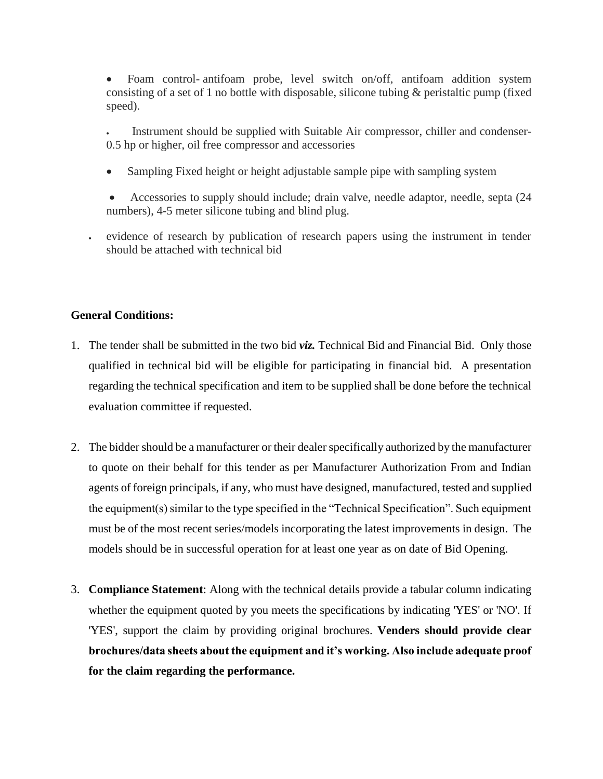• Foam control- antifoam probe, level switch on/off, antifoam addition system consisting of a set of 1 no bottle with disposable, silicone tubing  $\&$  peristaltic pump (fixed speed).

Instrument should be supplied with Suitable Air compressor, chiller and condenser-0.5 hp or higher, oil free compressor and accessories

- Sampling Fixed height or height adjustable sample pipe with sampling system
- Accessories to supply should include; drain valve, needle adaptor, needle, septa (24 numbers), 4-5 meter silicone tubing and blind plug.
- evidence of research by publication of research papers using the instrument in tender should be attached with technical bid

## **General Conditions:**

- 1. The tender shall be submitted in the two bid *viz.* Technical Bid and Financial Bid. Only those qualified in technical bid will be eligible for participating in financial bid. A presentation regarding the technical specification and item to be supplied shall be done before the technical evaluation committee if requested.
- 2. The bidder should be a manufacturer or their dealer specifically authorized by the manufacturer to quote on their behalf for this tender as per Manufacturer Authorization From and Indian agents of foreign principals, if any, who must have designed, manufactured, tested and supplied the equipment(s) similar to the type specified in the "Technical Specification". Such equipment must be of the most recent series/models incorporating the latest improvements in design. The models should be in successful operation for at least one year as on date of Bid Opening.
- 3. **Compliance Statement**: Along with the technical details provide a tabular column indicating whether the equipment quoted by you meets the specifications by indicating 'YES' or 'NO'. If 'YES', support the claim by providing original brochures. **Venders should provide clear brochures/data sheets about the equipment and it's working. Also include adequate proof for the claim regarding the performance.**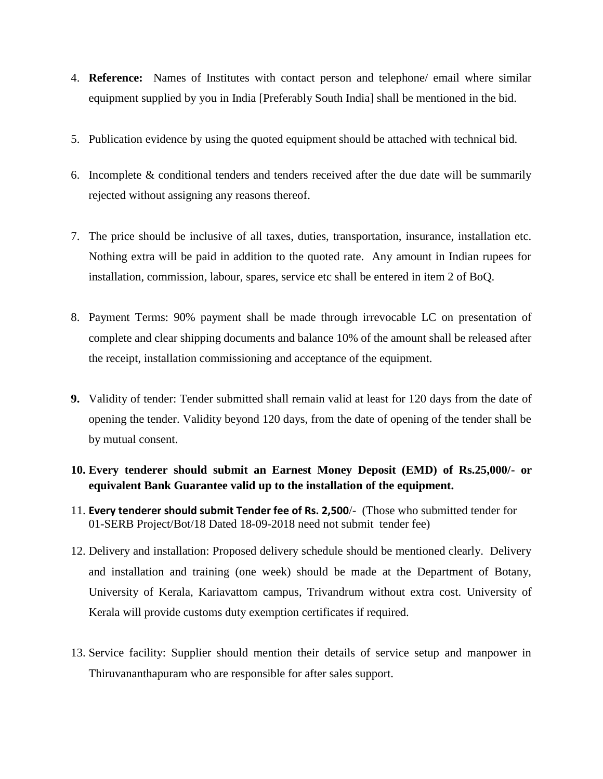- 4. **Reference:** Names of Institutes with contact person and telephone/ email where similar equipment supplied by you in India [Preferably South India] shall be mentioned in the bid.
- 5. Publication evidence by using the quoted equipment should be attached with technical bid.
- 6. Incomplete & conditional tenders and tenders received after the due date will be summarily rejected without assigning any reasons thereof.
- 7. The price should be inclusive of all taxes, duties, transportation, insurance, installation etc. Nothing extra will be paid in addition to the quoted rate. Any amount in Indian rupees for installation, commission, labour, spares, service etc shall be entered in item 2 of BoQ.
- 8. Payment Terms: 90% payment shall be made through irrevocable LC on presentation of complete and clear shipping documents and balance 10% of the amount shall be released after the receipt, installation commissioning and acceptance of the equipment.
- **9.** Validity of tender: Tender submitted shall remain valid at least for 120 days from the date of opening the tender. Validity beyond 120 days, from the date of opening of the tender shall be by mutual consent.
- **10. Every tenderer should submit an Earnest Money Deposit (EMD) of Rs.25,000/- or equivalent Bank Guarantee valid up to the installation of the equipment.**
- 11. **Every tenderer should submit Tender fee of Rs. 2,500**/- (Those who submitted tender for 01-SERB Project/Bot/18 Dated 18-09-2018 need not submit tender fee)
- 12. Delivery and installation: Proposed delivery schedule should be mentioned clearly. Delivery and installation and training (one week) should be made at the Department of Botany, University of Kerala, Kariavattom campus, Trivandrum without extra cost. University of Kerala will provide customs duty exemption certificates if required.
- 13. Service facility: Supplier should mention their details of service setup and manpower in Thiruvananthapuram who are responsible for after sales support.